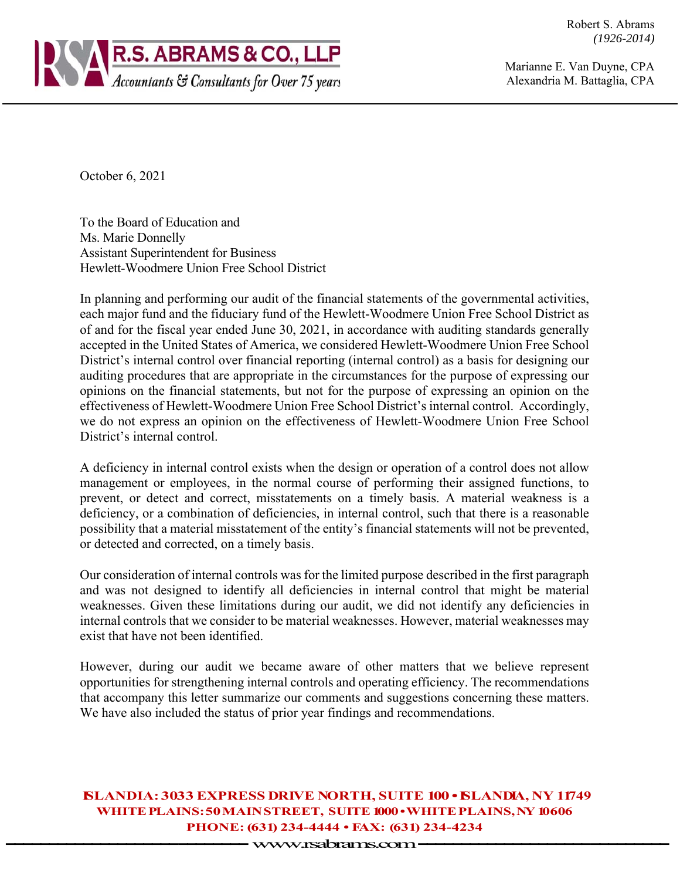Robert S. Abrams *(1926-2014)* 



Marianne E. Van Duyne, CPA Alexandria M. Battaglia, CPA

October 6, 2021

To the Board of Education and Ms. Marie Donnelly Assistant Superintendent for Business Hewlett-Woodmere Union Free School District

In planning and performing our audit of the financial statements of the governmental activities, each major fund and the fiduciary fund of the Hewlett-Woodmere Union Free School District as of and for the fiscal year ended June 30, 2021, in accordance with auditing standards generally accepted in the United States of America, we considered Hewlett-Woodmere Union Free School District's internal control over financial reporting (internal control) as a basis for designing our auditing procedures that are appropriate in the circumstances for the purpose of expressing our opinions on the financial statements, but not for the purpose of expressing an opinion on the effectiveness of Hewlett-Woodmere Union Free School District's internal control. Accordingly, we do not express an opinion on the effectiveness of Hewlett-Woodmere Union Free School District's internal control.

A deficiency in internal control exists when the design or operation of a control does not allow management or employees, in the normal course of performing their assigned functions, to prevent, or detect and correct, misstatements on a timely basis. A material weakness is a deficiency, or a combination of deficiencies, in internal control, such that there is a reasonable possibility that a material misstatement of the entity's financial statements will not be prevented, or detected and corrected, on a timely basis.

Our consideration of internal controls was for the limited purpose described in the first paragraph and was not designed to identify all deficiencies in internal control that might be material weaknesses. Given these limitations during our audit, we did not identify any deficiencies in internal controls that we consider to be material weaknesses. However, material weaknesses may exist that have not been identified.

However, during our audit we became aware of other matters that we believe represent opportunities for strengthening internal controls and operating efficiency. The recommendations that accompany this letter summarize our comments and suggestions concerning these matters. We have also included the status of prior year findings and recommendations.

**ISLANDIA: 3033 EXPRESS DRIVE NORTH, SUITE 100 • ISLANDIA, NY 11749 WHITE PLAINS: 50 MAIN STREET, SUITE 1000 • WHITE PLAINS, NY 10606 PHONE: (631) 234-4444 • FAX: (631) 234-4234 -------------------- --------** www.rsabrams.com **-------------------- ---------**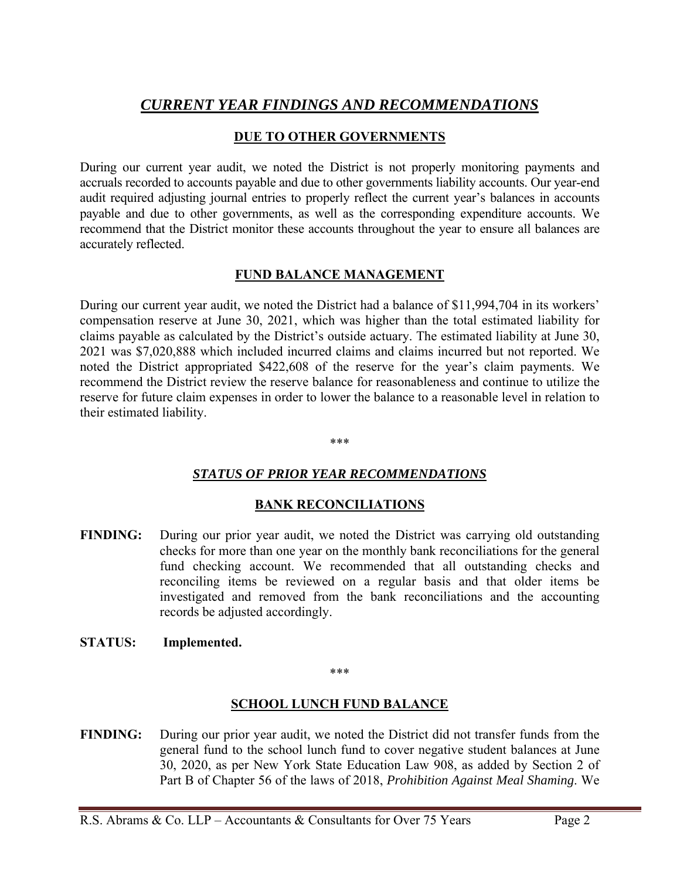# *CURRENT YEAR FINDINGS AND RECOMMENDATIONS*

## **DUE TO OTHER GOVERNMENTS**

During our current year audit, we noted the District is not properly monitoring payments and accruals recorded to accounts payable and due to other governments liability accounts. Our year-end audit required adjusting journal entries to properly reflect the current year's balances in accounts payable and due to other governments, as well as the corresponding expenditure accounts. We recommend that the District monitor these accounts throughout the year to ensure all balances are accurately reflected.

### **FUND BALANCE MANAGEMENT**

During our current year audit, we noted the District had a balance of \$11,994,704 in its workers' compensation reserve at June 30, 2021, which was higher than the total estimated liability for claims payable as calculated by the District's outside actuary. The estimated liability at June 30, 2021 was \$7,020,888 which included incurred claims and claims incurred but not reported. We noted the District appropriated \$422,608 of the reserve for the year's claim payments. We recommend the District review the reserve balance for reasonableness and continue to utilize the reserve for future claim expenses in order to lower the balance to a reasonable level in relation to their estimated liability.

\*\*\*

### *STATUS OF PRIOR YEAR RECOMMENDATIONS*

### **BANK RECONCILIATIONS**

- **FINDING:** During our prior year audit, we noted the District was carrying old outstanding checks for more than one year on the monthly bank reconciliations for the general fund checking account. We recommended that all outstanding checks and reconciling items be reviewed on a regular basis and that older items be investigated and removed from the bank reconciliations and the accounting records be adjusted accordingly.
- **STATUS: Implemented.**

#### \*\*\*

### **SCHOOL LUNCH FUND BALANCE**

**FINDING:** During our prior year audit, we noted the District did not transfer funds from the general fund to the school lunch fund to cover negative student balances at June 30, 2020, as per New York State Education Law 908, as added by Section 2 of Part B of Chapter 56 of the laws of 2018, *Prohibition Against Meal Shaming*. We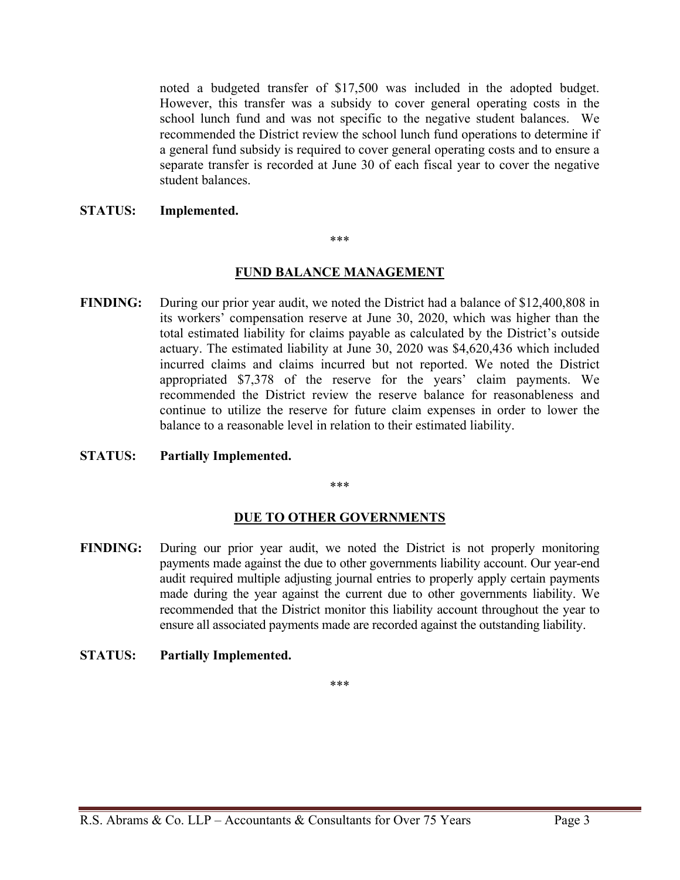noted a budgeted transfer of \$17,500 was included in the adopted budget. However, this transfer was a subsidy to cover general operating costs in the school lunch fund and was not specific to the negative student balances. We recommended the District review the school lunch fund operations to determine if a general fund subsidy is required to cover general operating costs and to ensure a separate transfer is recorded at June 30 of each fiscal year to cover the negative student balances.

#### **STATUS: Implemented.**

#### \*\*\*

### **FUND BALANCE MANAGEMENT**

- **FINDING:** During our prior year audit, we noted the District had a balance of \$12,400,808 in its workers' compensation reserve at June 30, 2020, which was higher than the total estimated liability for claims payable as calculated by the District's outside actuary. The estimated liability at June 30, 2020 was \$4,620,436 which included incurred claims and claims incurred but not reported. We noted the District appropriated \$7,378 of the reserve for the years' claim payments. We recommended the District review the reserve balance for reasonableness and continue to utilize the reserve for future claim expenses in order to lower the balance to a reasonable level in relation to their estimated liability.
- **STATUS: Partially Implemented.**

\*\*\*

### **DUE TO OTHER GOVERNMENTS**

- **FINDING:** During our prior year audit, we noted the District is not properly monitoring payments made against the due to other governments liability account. Our year-end audit required multiple adjusting journal entries to properly apply certain payments made during the year against the current due to other governments liability. We recommended that the District monitor this liability account throughout the year to ensure all associated payments made are recorded against the outstanding liability.
- **STATUS: Partially Implemented.**

\*\*\*